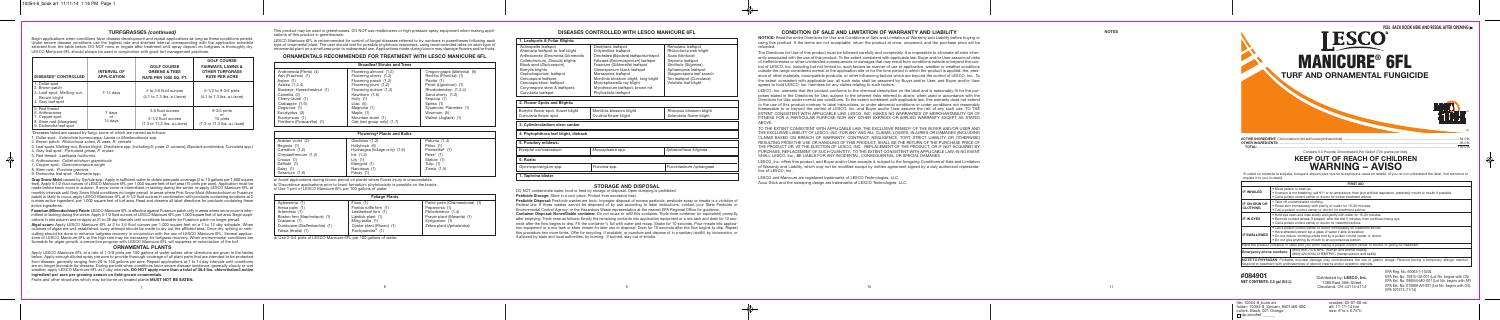# **T U R F G R A S S E S** *(c o n tin u e d)*

Begin applications when conditions favor disease development and repeat applications as long as these conditions persist. Under severe disease conditions use the highest rate and shortest interval corresponding with the application schedule selected from the table below. DO NOT mow or irrigate after treatment until spray deposit on turfgrass is thoroughly dry. LESCO Manicure 6FL should always be used in conjunction with good turf management practices.

#### PEEL BACK BOOK HERE AND RESEAL AFTER OPENING **ACTIVE INGREDIENT:** Chlorothalonil (tetrachloroisophthalonitrile ) ........................................................................................................................ 5 4 . 0 % OTHER INGREDIENTS **:** ........................................................................................................................................................................................... 4 6 . 0 % **T O TA L :** ................................................................................................................................................................................................................ 1 0 0 . 0 % Contains 6.0 Pounds Chlorothalonil Per Gallon (720 grams per liter). **KEEP OUT OF REACH OF CHILDREN** WARNING – AVISO **F I R S T A I D** • M o v e p e r s o n t o f re s h a i r. • I f p e r s o n i s n o t b re a t h i n g , c a l l 9 1 1 o r a n a m b u l a n c e , t h e n g i v e a rt i f i c i a l re s p i r a t i o n , p re f e r a b l y m o u t h t o m o u t h i f p o s s i b l e . • C a l l a p o i s o n c o n t ro l c e n t e r o r d o c t o r f o r f u rt h e r t re a t m e n t a d v i c e . **I N H A L E D MANICURE<sup>®</sup> 6FL** TURF AND ORNAMENTAL FUNGICIDE ™ ™

Si usted no entiende la etiqueta, busque a alquien para que se la explique a usted en detalle. (If you do not understand the label, find someone to explain it to you in detail).

| <b>DISEASES* CONTROLLED</b>                                                                             | <b>INTERVAL OF</b><br><b>APPLICATION</b> | <b>GOLF COURSE</b><br><b>GREENS &amp; TEES</b><br><b>RATE PER 1000 SQ. FT.</b> | <b>GOLF COURSE</b><br><b>FAIRWAYS, LAWNS &amp;</b><br><b>OTHER TURFGRASS</b><br><b>RATE PER ACRE</b> |
|---------------------------------------------------------------------------------------------------------|------------------------------------------|--------------------------------------------------------------------------------|------------------------------------------------------------------------------------------------------|
| 1. Dollar spot<br>2. Brown patch<br>3. Leaf spot, Melting-out,<br>Brown blight<br>4. Gray leaf spot     | $7-14$ days                              | 2 to 3.6 fluid ounces<br>$(4.1 \text{ to } 7.3 \text{ lbs. a.i/acre})$         | 5-1/2 to 9-3/4 pints<br>(4.1 to 7.3 lbs. a.i./acre)                                                  |
| 5. Red thread<br>6. Anthracnose<br>7. Copper spot<br>8. Stem rust (bluegrass)<br>9. Dichondra leaf spot | 7 days<br>or<br>14 days                  | 3.6 fluid ounces<br>or<br>5-1/2 fluid ounces<br>(7.3 or 11.3 lbs. a.i./acre)   | $9-3/4$ pints<br>or<br>15 pints<br>$(7.3 \text{ or } 11.3 \text{ lbs. a.i/acre})$                    |

\*Diseases listed are caused by fungi, some of which are named as follows:

1. Dollar spot: Sclerotinia homeocarpa; Lanzia or Moellerodiscus spp.

2. Brown patch: Rhizoctonia solani, R. zeae, R. cerealis

3. Leaf spots, Melting-out, Brown blight: *Drechslera* spp. (including D. poae, D. siccans), Bipolaris sorokiniana, Curvularia spp.)

- 4. Gray leaf spot: Pyricularia grisea, P. oryzae
- 5. Red thread: Laetisaria fuciformis

6. Anthracnose: Colletrotrichum graminicola

7. Copper spot: Gloeocercospora sorghi

8. Stem rust: Puccinia graminis

9. Dichondra leaf spot: Alternaria spp.

Gray Snow Mold caused by Typhula spp.: Apply in sufficient water to obtain adequate coverage (2 to 10 gallons per 1,000 square feet). Apply 5-1/2 fluid ounces of LESCO Manicure 6FL per 1,000 square feet of turf area (15 pints per acre). Application must be made before snow cover in autumn. If snow cover is intermittent or lacking during the winter, re-apply LESCO Manicure 6FL at monthly intervals until Gray Snow Mold conditions no longer prevail. In areas where Pink Snow Mold (Microdochium or Fusarium patch) is likely to occur, apply LESCO Manicure 6FL at 5-1/2 fluid ounces in combination with products containing iprodione at 2 ounces active ingredient, per 1,000 square feet of turf area. Read and observe all label directions for products containing these active ingredients.

Fusarium (Microdochium) Patch: LESCO Manicure 6FL is effective against Fusarium patch only in areas where snow cover is intermittent or lacking during the winter. Apply 5-1/2 fluid ounces of LESCO Manicure 6FL per 1,000 square feet of turf area. Begin applications in late autumn and re-apply at 21 to 28 day intervals until conditions favorable for Fusarium patch no longer prevail.

Algal scum: Apply LESCO Manicure 6FL at 2 to 3.6 fluid ounces per 1,000 square feet on a 7 to 14 day schedule. When colonies of algae are well established, every attempt should be made to dry out the afflicted area. Once dry, spiking or verticutting should be done to enhance turfgrass recovery in conjunction with the use of LESCO Manicure 6FL. Several applications of LESCO Manicure 6FL at the high rate may be necessary for turfgrass recovery. When environmental conditions are favorable for algae growth, a preventive program with LESCO Manicure 6FL will suppress re-colonization of the turf.

# ORNAMENTAL PLANTS

Apply LESCO Manicure 6FL at a rate of 1-3/8 pints per 100 gallons of water unless other directions are given in the tables below. Apply enough diluted spray per acre to provide thorough coverage of all plant parts that are intended to be protected from disease, generally ranging from 20 to 150 gallons per acre. Repeat applications at 7 to 14 day intervals until conditions are no longer favorable for disease. During periods when conditions favor severe disease incidence, generally cloudy or wet weather, apply LESCO Manicure 6FL at 7 day intervals. DO NOT apply more than a total of 36.4 lbs. chlorothalonil active ingredient per acre per growing season on field-grown ornamentals.

Fruits and other structures which may be borne on treated plants MUST NOT BE EATEN.

LESCO Manicure 6FL is recommended for control of fungal diseases referred to by numbers in parentheses following each type of ornamental plant. The user should test for possible phytotoxic responses, using recommended rates on each type of ornamental plant on a small area prior to widespread use. Applications made during bloom may damage flowers and/or fruits.

# ORNAMENTALS RECOMMENDED FOR TREATMENT WITH LESCO MANICURE 6FL

| <b>Broadleaf Shrubs and Trees</b>                                                                                                                                                                                                                 |                                                                                                                                                                                                                                                               |                                                                                                                                                                                                                                                    |  |
|---------------------------------------------------------------------------------------------------------------------------------------------------------------------------------------------------------------------------------------------------|---------------------------------------------------------------------------------------------------------------------------------------------------------------------------------------------------------------------------------------------------------------|----------------------------------------------------------------------------------------------------------------------------------------------------------------------------------------------------------------------------------------------------|--|
| Andromeda (Pieris) (4)<br>Ash (Fraxinus) (1)<br>Aspen (1)<br>Azalea (1,2,4)<br>Buckeye, Horsechestnut (1)<br>Camellia (2)<br>Cherry-laurel (1)<br>Crabapple (1,6)<br>Dogwood (1)<br>Eucalyptus (3)<br>Euonymous (1)<br>Firethorn (Pyracantha) (1) | Flowering almond (1,2)<br>Flowering cherry (1,2)<br>Flowering peach (1,2)<br>Flowering plum (1,2)<br>Flowering quince (1,2)<br>Hawthorn (1,6)<br>Holly $(1)$<br>Lilac $(5)$<br>Magnolia (1)<br>Maple (1)<br>Mountain laurel (1)<br>Oak (red group only) (1,7) | Oregon-grape (Mahonia) (6)<br>Red-tip ( <i>Photinia</i> ) (1)<br>Poplar (1)<br>Privet (Ligustrum) (1)<br>Rhododendron (1,2,4)<br>Sand cherry (1,2)<br>Sequoia (1)<br>Spirea (1)<br>Sycamore, Planetree (1)<br>Viburnum (5)<br>Walnut (Juglans) (1) |  |

LESCO, Inc. warrants that this product conforms to the chemical description on the label and is reasonably fit for the purposes stated in the Directions for Use, subject to the inherent risks referred to above, when used in accordance with the Directions for Use under normal use conditions. To the extent consistent with applicable law, this warranty does not extend to the use of this product contrary to label instructions, or under abnormal conditions or under conditions not reasonably foreseeable to or beyond the control of LESCO, Inc. and Buyer and/or User assume the risk of any such use. TO THE EXTENT CONSISTENT WITH APPLICABLE LAW, LESCO, INC. MAKES NO WARRANTIES OF MERCHANTABILITY OR OF FITNESS FOR A PARTICULAR PURPOSE NOR ANY OTHER EXPRESS OR IMPLIED WARRANTY EXCEPT AS STATED A B O V E .

TO THE EXTENT CONSISTENT WITH APPLICABLE LAW, THE EXCLUSIVE REMEDY OF THE BUYER AND/OR USER AND THE EXCLUSIVE LIABILITY OF LESCO, INC. FOR ANY AND ALL CLAIMS, LOSSES, INJURIES OR DAMAGES (INCLUDING CLAIMS BASED ON BREACH OF WARRANTY, CONTRACT, NEGLIGENCE, TORT, STRICT LIABILITY OR OTHERWISE) RESULTING FROM THE USE OR HANDLING OF THIS PRODUCT, SHALL BE THE RETURN OF THE PURCHASE PRICE OF THE PRODUCT OR, AT THE ELECTION OF LESCO, INC. REPLACEMENT OF THE PRODUCT, OR IF NOT ACQUIRED BY PURCHASE, REPLACEMENT OF SUCH QUANTITY. TO THE EXTENT CONSISTENT WITH APPLICABLE LAW, IN NO EVENT SHALL LESCO, Inc., BE LIABLE FOR ANY INCIDENTAL, CONSEQUENTIAL OR SPECIAL DAMAGES.

LESCO, Inc. offers this product, and Buyer and/or User accepts it, subject to the foregoing Conditions of Sale and Limitation of Warranty and Liability, which may not be modified except by written agreement signed by a duly authorized representative of LESCO, Inc.

LESCO and Manicure are registered trademarks of LESCO Technologies, LLC. Accu-Stick and the sweeping design are trademarks of LESCO Technologies, LLC.

| Flowering <sup>a</sup> Plants and Bulbs                                                                                                  |                                                                                                                                                |                                                                                                                        |  |
|------------------------------------------------------------------------------------------------------------------------------------------|------------------------------------------------------------------------------------------------------------------------------------------------|------------------------------------------------------------------------------------------------------------------------|--|
| Arabian violet (2)<br>Begonia (1)<br>Carnation (1,2)<br>Chrysanthemum (1,2)<br>Crocus (1)<br>Daffodil (1)<br>Daisy (1)<br>Geranium (1,6) | Gladiolus (1,2)<br>Hollyhock (6)<br>Hydrangea (foliage only) (1,6)<br>Iris $(1,2)$<br>Lily $(1)$<br>Marigold (1)<br>Narcissus (1)<br>Pansy (1) | Petunia (1,4)<br>Phlox (1)<br>Poinsettia <sup>b</sup> (1)<br>Rose $c(1)$<br>Statice (1)<br>Tulip (1)<br>Zinnia $(1,5)$ |  |

a/ Avoid applications during bloom period on plants where flower injury is unacceptable. b/ Discontinue applications prior to bract formation; phytotoxicity is possible on the bracts. c/ Use 1 pint of LESCO Manicure 6FL per 100 gallons of water.

| <b>Foliage Plants</b>         |                              |                               |  |
|-------------------------------|------------------------------|-------------------------------|--|
| Aglaonema (1)                 | Ficus (1)                    | Parlor palm (Chamaedorea) (1) |  |
| Areca palm (1)                | Florida ruffle fern (1)      | Peperomia (1)                 |  |
| Artemesia (1)                 | Leatherleaf fern (1)         | Philodendron (1,4)            |  |
| Boston fern (Nephrolepis) (1) | Lipstick plant (1)           | Prayer plant (Maranta) (1)    |  |
| Dracaena (1)                  | Ming aralia (1)              | Syngonium (1)                 |  |
| Dumbcane (Dieffenbachia) (1)  | Oyster plant (Rhoeo) (1)     | Zebra plant (Aphelandra)      |  |
| Fatsia (Aralia) (1)           | Pachysandra <sup>d</sup> (1) |                               |  |

d/ Use 2-3/4 pints of LESCO Manicure 6FL per 100 gallons of water.

| 1. Leafspots & Foliar Blights:                                                                                                                                                                                                                                                                                           |                                                                                                                                                                                                                                                                                                                                                        |                                                                                                                                                                                                                       |  |  |  |
|--------------------------------------------------------------------------------------------------------------------------------------------------------------------------------------------------------------------------------------------------------------------------------------------------------------------------|--------------------------------------------------------------------------------------------------------------------------------------------------------------------------------------------------------------------------------------------------------------------------------------------------------------------------------------------------------|-----------------------------------------------------------------------------------------------------------------------------------------------------------------------------------------------------------------------|--|--|--|
| Actinopelte leafspot<br>Alternaria leafspot or leaf blight<br>Anthracnose (Gnomonia, Glomerella,<br>Colletotrichum, Discula) blights<br>Black spot (Diplocarpon)<br>Botrytis blights<br>Cephalosporium leafspot<br>Cercospora leafspot<br>Cercosporidium leafspot<br>Corynespora stem & leafspots<br>Curvularia leafspot | Dactylaria leafspot<br>Didymellina leafspot<br>Drechslera (Bipolaris) leafspots, inkspot<br>Fabraea (Entomosporium) leafspot<br>Fusarium (Gibberella) leafspot<br>Gloeosporium black leafspot<br>Marssonina leafspot<br>Monilinia blossom blight, twig blight<br>Mycosphaerella ray blight<br>Myrothecium leafspot, brown rot<br>Phyllosticta leafspot | Ramularia leafspot<br>Rhizoctonia web blight<br>Scab (Venturia)<br>Septoria leafspot<br>Shothole (Stigmina)<br>Sphaeropsis leafspot<br>Stagonospora leaf scorch<br>Tan leafspot (Curvularia)<br>Volutella leaf blight |  |  |  |
| 2. Flower Spots and Blights:                                                                                                                                                                                                                                                                                             |                                                                                                                                                                                                                                                                                                                                                        |                                                                                                                                                                                                                       |  |  |  |
| Botrytis flower spot, flower blight<br>Curvularia flower spot                                                                                                                                                                                                                                                            | Rhizopus blossom blight<br>Sclerotinia flower blight                                                                                                                                                                                                                                                                                                   |                                                                                                                                                                                                                       |  |  |  |
| 3. Cvlindrocladium stem canker                                                                                                                                                                                                                                                                                           |                                                                                                                                                                                                                                                                                                                                                        |                                                                                                                                                                                                                       |  |  |  |
| 4. Phytophthora leaf blight, dieback                                                                                                                                                                                                                                                                                     |                                                                                                                                                                                                                                                                                                                                                        |                                                                                                                                                                                                                       |  |  |  |
| 5. Powdery mildews:                                                                                                                                                                                                                                                                                                      |                                                                                                                                                                                                                                                                                                                                                        |                                                                                                                                                                                                                       |  |  |  |
| Erysiphe cichoracearum                                                                                                                                                                                                                                                                                                   | Microsphaera spp.                                                                                                                                                                                                                                                                                                                                      | Sphaerotheca fuliginea                                                                                                                                                                                                |  |  |  |
| 6. Rusts:                                                                                                                                                                                                                                                                                                                |                                                                                                                                                                                                                                                                                                                                                        |                                                                                                                                                                                                                       |  |  |  |
| Puccinia spp.<br>Pucciniastrum hydrangeae<br>Gymnosporangium spp.                                                                                                                                                                                                                                                        |                                                                                                                                                                                                                                                                                                                                                        |                                                                                                                                                                                                                       |  |  |  |
| 7. Taphrina blister                                                                                                                                                                                                                                                                                                      |                                                                                                                                                                                                                                                                                                                                                        |                                                                                                                                                                                                                       |  |  |  |

# STORAGE AND DISPOSAL

DO NOT contaminate water, food or feed by storage or disposal. Open dumping is prohibited.

Pesticide Storage: Store in a cool place. Protect from excessive heat.

Pesticide Disposal: Pesticide wastes are toxic. Improper disposal of excess pesticide, pesticide spray or rinsate is a violation of Federal law. If these wastes cannot be disposed of by use according to label instructions, contact your State Pesticide or Environmental Control Agency, or the Hazardous Waste representative at the nearest EPA Regional Office for guidance. Container Disposal: Nonrefillable container. Do not reuse or refill this container. Triple rinse container (or equivalent) promptly after emptying. Triple rinse as follows: Empty the remaining contents into application equipment or a mix tank and drain for 10 seconds after the flow begins to drip. Fill the container 1/4 full with water and recap. Shake for 10 seconds. Pour rinsate into application equipment or a mix tank or store rinsate for later use or disposal. Drain for 10 seconds after the flow begins to drip. Repeat this procedure two more times. Offer for recycling, if available, or puncture and dispose of in a sanitary landfill, by incineration, or if allowed by state and local authorities, by burning. If burned, stay out of smoke.

# CONDITION OF SALE AND LIMITATION OF WARRANTY AND LIABILITY

NOTICE: Read the entire Directions for Use and Conditions of Sale and Limitation of Warranty and Liability before buying or using this product. If the terms are not acceptable, return the product at once, unopened, and the purchase price will be refunded.

The Directions for Use of this product must be followed carefully and completely. It is impossible to eliminate all risks inherently associated with the use of this product. To the extent consistent with applicable law, Buyer and/or User assume all risks of ineffectiveness or other unintended consequences or damages that may result from conditions outside or beyond the control of LESCO, Inc. including but not limited to, such factors as manner of use or application, weather or weather conditions outside the range considered normal at the application site or for the time period in which the product is applied, the, presence of other materials, incompatible products, or other influencing factors which are beyond the control of LESCO, Inc.. To the extent consistent with applicable law, all such risks shall be assumed by Buyer and/or User, and Buyer and/or User agrees to hold LESCO, Inc. harmless for any claims relating to such factors.

|                                                                                                                                  | <b>FIRST AID</b>                                                                                                                                                                                                                                                                         |  |  |  |  |
|----------------------------------------------------------------------------------------------------------------------------------|------------------------------------------------------------------------------------------------------------------------------------------------------------------------------------------------------------------------------------------------------------------------------------------|--|--|--|--|
| <b>IF INHALED</b>                                                                                                                | • Move person to fresh air.<br>• If person is not breathing, call 911 or an ambulance, then give artificial respiration, preferably mouth to mouth if possible.<br>. Call a poison control center or doctor for further treatment advice.                                                |  |  |  |  |
| IF ON SKIN OR<br><b>CLOTHING</b>                                                                                                 | . Take off contaminated clothing.<br>. Rinse skin immediately with plenty of water for 15-20 minutes.<br>• Call a poison control center or doctor for treatment advice.                                                                                                                  |  |  |  |  |
| IF IN EYES                                                                                                                       | . Hold eye open and rinse slowly and gently with water for 15-20 minutes.<br>• Remove contact lenses, if present, after the first 5 minutes, then continue rinsing eve.<br>. Call a poison control center or doctor for treatment advice.                                                |  |  |  |  |
| <b>IF SWALLOWED</b>                                                                                                              | . Call a poison control center or doctor immediately for treatment advice.<br>. Have affected person sip a glass of water if able to swallow.<br>. Do not induce vomiting unless told by a poison control center or doctor.<br>. Do not give anything by mouth to an unconscious person. |  |  |  |  |
|                                                                                                                                  | Have the product container or label with you when calling a poison control center or doctor, or going for treatment.                                                                                                                                                                     |  |  |  |  |
| (800) 858-7378 NPIC (human and animal health)<br>Emergency phone numbers:<br>(800) 424-9300 CHEMTREC (transportation and spills) |                                                                                                                                                                                                                                                                                          |  |  |  |  |
|                                                                                                                                  | NOTE TO PHYSICIAN: Probable mucosal damage may contraindicate the use of gastric lavage. Persons having a temporary allergic reaction<br>respond to treatment with antihistamines or steroid creams and/or systemic steroids.                                                            |  |  |  |  |

# **# 0 8 4 9 0 1**

**NET CONTENTS: 2.5 gal (9.5 L)** 

Distributed by: LESCO, Inc. 1385 East 36th Street Cleveland, OH 44114-4114

EPA Reg. No. 60063-7-10404 EPA Est. No. 70815-GA-001 (Lot No. begins with CB) EPA Est. No. 086555-MO-001 (Lot No. begins with AF) EPA Est. No. 070989-AR-001 (Lot No. begins with OS) EPA 021913 (11/14)

file: 10354-8\_book art folder: 10354-8\_Sipcam\_9501460-000 colors: Black, 021 Orange dp proofed \_\_\_\_\_\_

created: 02-07-00 es alt: 11-11-14 bm size: 6"w x 6.75"h

### DISEASES CONTROLLED WITH LESCO MANICURE 6FL

**N O T E S**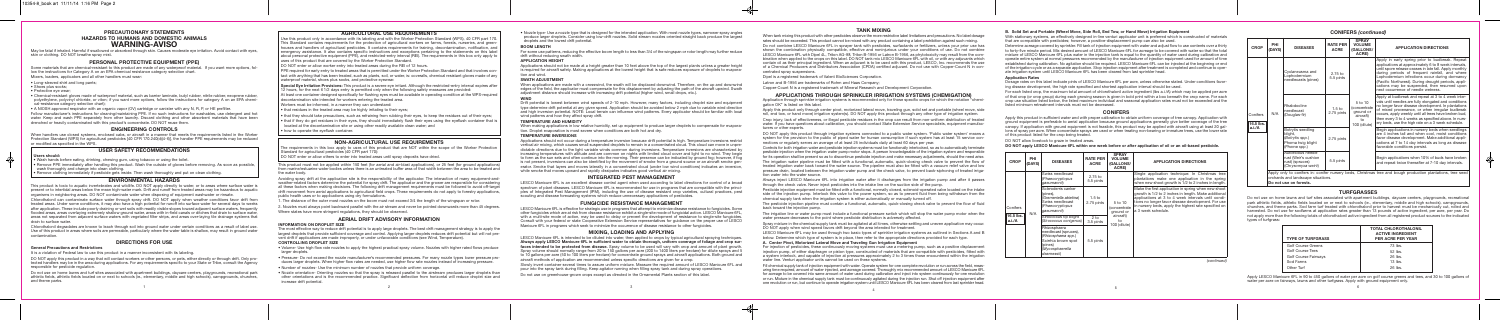# **CONIFERS** *(continued)*

# **TURFGRASSES**

Do not use on home lawns and turf sites associated with apartment buildings, daycare centers, playgrounds, recreational park athletic fields, athletic fields located on or next to schools (ie., elementary, middle and high schools), campgrounds, churches, and theme parks. Sod farm turf treated with chlorothalonil prior to harvest must be mechanically cut, rolled and harvested. Do not use for sodfarms at application rates greater than 13 pounds of active ingredient, per acre, per year. Do not apply more than the following totals of chlorothalonil active ingredient from all registered product sources to the indicated types of turfgrass:

Apply LESCO Manicure 6FL in 90 to 450 gallons of water per acre on golf course greens and tees, and 30 to 100 gallons of water per acre on fairways, lawns and other turfgrass. Apply with ground equipment only.

#### **B. Solid Set and Portable (Wheel Move, Side Roll, End Tow, or Hand Move) Irrigation Equipment**

With stationary systems, an effectively designed in-line venturi applicator unit is preferred which is constructed of materials that are compatible with pesticides; however, a positive-displacement pump can also be used.

Determine acreage covered by sprinkler. Fill tank of injection equipment with water and adjust flow to use contents over a thirty to forty-five minute period. Mix desired amount of LESCO Manicure 6FL for acreage to be covered with water so that the total mixture of LESCO Manicure 6FL plus water in the injection tank is equal to the quantity of water used during calibration and operate entire system at normal pressures recommended by the manufacturer of injection equipment used for amount of time established during calibration. No agitation should be required. LESCO Manicure 6FL can be injected at the beginning or end of the irrigation cycle or as a separate application. Stop injection equipment after treatment is completed and continue to operate irrigation system until LESCO Manicure 6FL has been cleared from last sprinkler head.

# **Application Rates**

Dosage rates on this label indicate pints of LESCO Manicure 6FL per acre, unless otherwise stated. Under conditions favor-

ing disease development, the high rate specified and shortest application interval should be used. For each listed crop, the maximum total amount of chlorothalonil active ingredient (lbs a.i./A) which may be applied per acre of that crop (or crop group) during each growing season is given in bold print within a box beneath the crop name. For each crop use situation listed below, the listed maximum individual and seasonal application rates must not be exceeded and the listed minimum retreatment intervals must not be decreased.

When handlers use closed systems, enclosed cabs, or aircraft in a manner that meets the requirements listed in the Worker Protection Standard (WPS) for agricultural pesticides [40 CFR 170.240(d)(4-6)], the handler PPE requirements may be reduced or modified as specified in the WPS.

• Remove PPE immediately after handling this product. Wash the outside of gloves before removing. As soon as possible, wash thoroughly and change into clean clothing.

### **CONIFERS**

Apply this product in sufficient water and with proper calibration to obtain uniform coverage of tree canopy. Application with ground equipment is preferable to aerial application because ground applications generally give better coverage of the tree canopy. If application with ground equipment is not feasible, this product may be applied with aircraft using at least 20 gallons of spray per acre. When concentrate sprays are used or when treating non-bearing or immature trees, use the lower rate of this product listed for the crop being treated.

DO NOT allow livestock to graze in treated areas.

DO NOT apply LESCO Manicure 6FL within one week before or after application of oil or an oil-based pesticide.

# **PRECAUTIONARY STATEMENTS HAZARDS TO HUMANS AND DOMESTIC ANIMALS WARNING-AVISO**

May be fatal if inhaled. Harmful if swallowed or absorbed through skin. Causes moderate eye irritation. Avoid contact with eyes, skin or clothing. DO NOT breathe spray mist.

# **PERSONAL PROTECTIVE EQUIPMENT (PPE)**

Some materials that are chemical-resistant to this product are made of any waterproof material. If you want more options, follow the instructions for Category A on an EPA chemical resistance category selection chart.

Mixers, loaders, applicators and all other handlers must wear:

- Long-sleeved shirt and long pants;
- Shoes plus socks:
- Protective eye wear;
- Chemical-resistant gloves made of waterproof material, such as barrier laminate, butyl rubber, nitrile rubber, neoprene rubber, polyethylene, polyvinyl chloride, or viton; if you want more options, follow the instructions for category A on an EPA chemical-resistance category selection chart);
- A NIOSH approved respirator with an organic vapor (OV) cartridge or canister with any N, R, P, or HE prefilter.

PPE required for early entry to treated areas that is permitted under the Worker Protection Standard and that involves contact with anything that has been treated, such as plants, soil, or water, is: coveralls, chemical resistant gloves made of any waterproof material, shoes plus socks, and protective eyewear.

**Special Eye Irritation Provisions:** This product is a severe eye irritant. Although the restricted-entry interval expires after 12 hours, for the next 6 1/2 days entry is permitted only when the following safety measures are provided:

Follow manufacturer's instructions for cleaning/maintaining PPE. If no such instructions for washables, use detergent and hot water. Keep and wash PPE separately from other laundry. Discard clothing and other absorbent materials that have been drenched or heavily contaminated with this product's concentrate. DO NOT reuse them.

# **ENGINEERING CONTROLS**

The requirements in this box apply to uses of this product that are NOT within the scope of the Worker Protection Standard for agricultural pesticides (40 CFR part 170):

# **USER SAFETY RECOMMENDATIONS**

#### **Users should:**

• Wash hands before eating, drinking, chewing gum, using tobacco or using the toilet.

• Remove clothing immediately if pesticide gets inside. Then wash thoroughly and put on clean clothing.

# **ENVIRONMENTAL HAZARDS**

This product is toxic to aquatic invertebrates and wildlife. DO NOT apply directly to water, or to areas where surface water is present or to intertidal areas below the mean high-water mark. Drift and runoff from treated areas may be hazardous to aquatic organisms in neighboring areas. DO NOT contaminate water when disposing of equipment washwater or rinsate.

Chlorothalonil can contaminate surface water through spray drift. DO NOT apply when weather conditions favor drift from treated areas. Under some conditions, it may also have a high potential for runoff into surface water for several days to weeks after application. These include poorly draining or wet soils with readily visible slopes toward adjacent surface waters, frequently flooded areas, areas overlaying extremely shallow ground water, areas with in-field canals or ditches that drain to surface water, areas not separated from adjacent surface waters with vegetated filter strips, and areas over-laying tile drainage systems that drain to surface water.

Chlorothalonil degradates are known to leach through soil into ground water under certain conditions as a result of label use. Use of this product in areas where soils are permeable, particularly where the water table is shallow, may result in ground water contamination.

# **DIRECTIONS FOR USE**

#### **General Precautions and Restrictions**

It is a violation of Federal law to use this product in a manner inconsistent with its labeling.

When making applications in low relative humidity, set up equipment to produce larger droplets to compensate for evaporation. Droplet evaporation is most severe when conditions are both hot and dry.

DO NOT apply this product in a way that will contact workers or other persons, or pets, either directly or through drift. Only protected handlers may be in the area during applications. For any requirements specific to your State or Tribe, consult the Agency responsible for pesticide regulation.

Do not use on home lawns and turf sites associated with apartment buildings, daycare centers, playgrounds, recreational park athletic fields, athletic fields located on or next to schools (ie., elementary, middle and high schools), campgrounds, churches, and theme parks.

# **AGRICULTURAL USE REQUIREMENTS**

Use this product only in accordance with its labeling and with the Worker Protection Standard (WPS), 40 CFR part 170. This Standard contains requirements for the protection of agricultural workers on farms, forests, nurseries, and greenhouses and handlers of agricultural pesticides. It contains requirements for training, decontamination, notification, and emergency assistance. It also contains specific instructions and exceptions pertaining to the statements on this label about personal protective equipment (PPE), and restricted-entry interval (REI). The requirements in this box only apply to uses of this product that are covered by the Worker Protection Standard.

DO NOT enter or allow worker entry into treated areas during the REI of 12 hours.

At least one container designed specifically for flushing eyes must be available in operating condition at the WPS-required decontamination site intended for workers entering the treated area.

Workers must be informed, in a manner they can understand:

• that residues in the treated area may be highly irritating to their eyes;

- that they should take precautions, such as refraining from rubbing their eyes, to keep the residues out of their eyes;
- that if they do get residues in their eyes, they should immediately flush their eyes using the eyeflush container that is located at the decontamination site or using other readily available clean water; and
- how to operate the eyeflush container.

# **NON-AGRICULTURAL USE REQUIREMENTS**

DO NOT enter or allow others to enter into treated areas until spray deposits have dried.

This product must not be applied within 150 feet (for aerial and air-blast applications), or 25 feet (for ground applications) from marine/estuarine water bodies unless there is an untreated buffer area of that width between the area to be treated and the water body.

Avoiding spray drift at the application site is the responsibility of the applicator. The interaction of many equipment-andweather-related factors determine the potential for spray drift. The applicator and the grower are responsible for considering all these factors when making decisions. The following drift management requirements must be followed to avoid off-target drift movement from aerial applications to agricultural field crops. These requirements do not apply to forestry applications, public health uses or to applications using dry formulations.

1. The distance of the outer most nozzles on the boom must not exceed 3/4 the length of the wingspan or rotor.

2. Nozzles must always point backward parallel with the air stream and never be pointed downwards more than 45 degrees.

Where states have more stringent regulations, they should be observed.

# **AERIAL DRIFT ADVISORY INFORMATION**

#### **INFORMATION ON DROPLET SIZE**

The most effective way to reduce drift potential is to apply large droplets. The best drift management strategy is to apply the largest droplets that provide sufficient coverage and control. Applying larger droplets reduces drift potential but will not prevent drift if applications are made improperly, or under unfavorable conditions (see Wind, Temperature).

#### **CONTROLLING DROPLET SIZE**

- Volume- Use high flow rate nozzles to apply the highest practical spray volume. Nozzles with higher rated flows produce larger droplets.
- Pressure- Do not exceed the nozzle manufacturer's recommended pressures. For many nozzle types lower pressure produces larger droplets. When higher flow rates are needed, use higher flow rate nozzles instead of increasing pressure.
- Number of nozzles- Use the minimum number of nozzles that provide uniform coverage.
- Nozzle orientation- Orienting nozzles so that the spray is released parallel to the airstream produces larger droplets than other orientations and is the recommended practice. Significant deflection from horizontal will reduce droplet size and increase drift potential.

• Nozzle type- Use a nozzle type that is designed for the intended application. With most nozzle types, narrower spray angles produce larger droplets. Consider using low-drift nozzles. Solid stream nozzles oriented straight back produce the largest droplets and the lowest drift potential.

#### **BOOM LENGTH**

For some use patterns, reducing the effective boom length to less than 3/4 of the wingspan or rotor length may further reduce drift without reducing swath width.

#### **APPLICATION HEIGHT**

Applications should not be made at a height greater than 10 feet above the top of the largest plants unless a greater height is required for aircraft safety. Making applications at the lowest height that is safe reduces exposure of droplets to evaporation and wind.

## **SWATH ADJUSTMENT**

When applications are made with a crosswind, the swath will be displaced downwind. Therefore, on the up and downwind edges of the field, the applicator must compensate for this displacement by adjusting the path of the aircraft upwind. Swath adjustment distance should increase with increasing drift potential (higher wind, small drops, etc.).

#### **WIND**

Drift potential is lowest between wind speeds of 2-10 mph. However, many factors, including droplet size and equipment type determine drift potential at any given speed. Application should be avoided below 2 mph due to variable wind direction and high inversion potential. NOTE: Local terrain can influence wind patterns. Every applicator should be familiar with local wind patterns and how they affect spray drift.

#### **TEMPERATURE AND HUMIDITY**

#### **TEMPERATURE INVERSIONS**

Applications should not occur during a temperature inversion because drift potential is high. Temperature inversions restrict vertical air mixing, which causes small suspended droplets to remain in a concentrated cloud. This cloud can move in unpredictable directions due to the light variable winds common during inversions. Temperature inversions are characterized by increasing temperatures with altitude and are common on nights with limited cloud cover and light to no wind. They begin to form as the sun sets and often continue into the morning. Their presence can be indicated by ground fog; however, if fog is not present, inversions can also be identified by the movement of smoke from a ground source or an aircraft smoke generator. Smoke that layers and moves laterally in a concentrated cloud (under low wind conditions) indicates an inversion, while smoke that moves upward and rapidly dissipates indicates good vertical air mixing.

# **INTEGRATED PEST MANAGEMENT**

LESCO Manicure 6FL is an excellent disease control agent when used according to label directions for control of a broad spectrum of plant diseases. LESCO Manicure 6FL is recommended for use in programs that are compatible with the principles of Integrated Pest Management (IPM), including the use of disease resistant crop varieties, cultural practices, pest scouting and disease forecasting systems which reduce unnecessary applications of pesticides.

# **FUNGICIDE RESISTANCE MANAGEMENT**

LESCO Manicure 6FL is effective for strategic use in programs that attempt to minimize disease resistance to fungicides. Some other fungicides which are at risk from disease resistance exhibit a single-site mode of fungicidal action. LESCO Manicure 6FL, with a multi-site mode of action, may be used to delay or prevent the development of resistance to single-site fungicides. Consult with your federal or state Cooperative Extension Service representatives for guidance on the proper use of LESCO Manicure 6FL in programs which seek to minimize the occurrence of disease resistance to other fungicides.

#### **MIXING, LOADING AND APPLYING**

LESCO Manicure 6FL is intended to be diluted into water, then applied to crops by typical agricultural spraying techniques. Always apply LESCO Manicure 6FL in sufficient water to obtain thorough, uniform coverage of foliage and crop sur**faces intended to be protected from disease.** Spray volume to be used will vary with crop and amount of plant growth. Spray volume should normally range from 20 to 150 gallons per acre (200 to 1400 liters per hectare) for dilute sprays and 5 to 10 gallons per acre (50 to 100 liters per hectare) for concentrate ground sprays and aircraft applications. Both ground and aircraft methods of application are recommended unless specific directions are given for a crop.

Slowly invert container several times to assure uniform mixture. Measure the required amount of LESCO Manicure 6FL and pour into the spray tank during filling. Keep agitator running when filling spray tank and during spray operations.

Do not use on greenhouse-grown crops except as directed in the Ornamental Plants section of this label.

# **TANK MIXING**

When tank mixing this product with other pesticides observe the more restrictive label limitations and precautions. No label dosage rates should be exceeded. This product cannot be mixed with any product containing a label prohibition against such mixing.

Do not combine LESCO Manicure 6FL in sprayer tank with pesticides, surfactants or fertilizers, unless your prior use has shown the combination physically compatible, effective and noninjurious under your conditions of use. Do not combine LESCO Manicure 6FL with Dipel 4L, Triton AG-98, Triton B-1956 or Latron B-1956, as phytotoxicity may result from the combination when applied to the crops on this label. DO NOT tank mix LESCO Manicure 6FL with oil, or with any adjuvants which contain oil as their principal ingredient. When an adjuvant is to be used with this product, LESCO, Inc. recommends the use of a Chemical Producers and Distributors Association (CPDA) certified adjuvant. Do not use with Copper-Count N in concentrated spray suspensions.

Dipel is a registered trademark of Valent BioSciences Corporation.

Latron and B-1956 are trademarks of Rohm and Haas Company;

Copper-Count N is a registered trademark of Mineral Research and Development Corporation.

# **APPLICATIONS THROUGH SPRINKLER IRRIGATION SYSTEMS (CHEMIGATION)**

Application through sprinkler irrigation systems is recommended only for those specific crops for which the notation "chemigation OK" is listed on this label.

Apply this product only through center pivot, motorized lateral move, traveling gun, solid set and portable (wheel move, side roll, end tow, or hand move) irrigation system(s). DO NOT apply this product through any other type of irrigation system.

Crop injury, lack of effectiveness, or illegal pesticide residues in the crop can result from non-uniform distribution of treated water. If you have questions about calibration, you should contact State Extension Service specialists, equipment manufacturers or other experts.

DO NOT apply this product through irrigation systems connected to a public water system. 'Public water system' means a system for the provision to the public of piped water for human consumption if such system has at least 15 service connections or regularly serves an average of at least 25 individuals daily at least 60 days per year.

Controls for both irrigation water and pesticide injection systems must be functionally interlocked, so as to automatically terminate pesticide injection when the irrigation water pump motor stops. A person knowledgeable of the irrigation system and responsible for its operation shall be present so as to discontinue pesticide injection and make necessary adjustments, should the need arise.

The irrigation water pipeline must be fitted with a functional, automatic, quick-closing check valve to prevent the flow of treated irrigation water back toward the water source. The pipeline must also be fitted with a vacuum relief valve and low pressure drain, located between the irrigation water pump and the check valve, to prevent back-siphoning of treated irrigation water into the water source.

Always inject LESCO Manicure 6FL into irrigation water after it discharges from the irrigation pump and after it passes through the check valve. Never inject pesticides into the intake line on the suction side of the pump.

Pesticide injection equipment must be fitted with a functional, normally closed, solenoid-operated valve located on the intake side of the injection pump. Interlock this valve to the power system, so as to prevent fluid from being withdrawn from the chemical supply tank when the irrigation system is either automatically or manually turned off.

The pesticide injection pipeline must contain a functional, automatic, quick-closing check valve to prevent the flow of fluid back toward the injection pump.

The irrigation line or water pump must include a functional pressure switch which will stop the water pump motor when the water pressure decreases to the point where pesticide distribution is adversely affected.

Spray mixture in the chemical supply tank must be agitated at all times, otherwise settling and uneven application may occur. DO NOT apply when wind speed favors drift beyond the area intended for treatment.

LESCO Manicure 6FL may be used through two basic types of sprinkler irrigation systems as outlined in Sections A and B below. Determine which type of system is in place, then refer to the appropriate directions provided for each type.

#### **A. Center Pivot, Motorized Lateral Move and Traveling Gun Irrigation Equipment**

For injection of pesticides, these continuously moving systems must use a metering pump, such as a positive displacement injection pump, of either diaphragm or piston type, constructed of materials that are compatible with pesticides, fitted with a system interlock, and capable of injection at pressures approximately 2 to 3 times those encountered within the irrigation water line. Venturi applicator units cannot be used on these systems.

Fill chemical supply tank of injection equipment with water. Operate system for one complete revolution or run across the field, measuring time required, amount of water injected, and acreage covered. Thoroughly mix recommended amount of LESCO Manicure 6FL for acreage to be covered into same amount of water used during calibration and inject into system continuously for one revolution or run. Mixture in the chemical supply tank must be continuously agitated during the injection run. Shut off injection equipment after one revolution or run, but continue to operate irrigation system until LESCO Manicure 6FL has been cleared from last sprinkler head.

| <b>TOTAL CHLOROTHALONIL</b><br><b>ACTIVE INGREDIENT</b><br><b>PER ACRE PER YEAR</b> |
|-------------------------------------------------------------------------------------|
| 73 lbs.                                                                             |
| 52 lbs.                                                                             |
| $26$ lbs.                                                                           |
| $13$ lbs.                                                                           |
| $26$ lbs                                                                            |
|                                                                                     |

*(continued)*

| CROP                | PHI<br>(DAY: |
|---------------------|--------------|
|                     |              |
|                     |              |
| Conifers            |              |
| 16.5 lbs.<br>a.i./A | N/A          |
|                     |              |

| <b>PHI</b><br>(DAYS) | <b>DISEASES</b>                                                                                                                  | <b>RATE PER</b><br><b>ACRE</b> | <b>SPRAY</b><br><b>VOLUME</b><br>(GALLONS/<br>ACRE)       | <b>APPLICATION DIRECTIONS</b>                                                                                                                                                                                                                                                                         |
|----------------------|----------------------------------------------------------------------------------------------------------------------------------|--------------------------------|-----------------------------------------------------------|-------------------------------------------------------------------------------------------------------------------------------------------------------------------------------------------------------------------------------------------------------------------------------------------------------|
| N/A                  | Swiss needlecast<br>(Phaeocryptopus<br>qaeumannii)                                                                               | $2.75$ to<br>5.5 pints         |                                                           | Single application technique: In Christmas tree<br>plantations make one application in the spring<br>when new shoot growth is 1/2 to 2 inches in length.                                                                                                                                              |
|                      | Scleroderris canker<br>(pines),<br>(Gremeniella abietina)<br>Swiss needlecast<br>(Phaeocryptopus<br>qaeumannii)                  | $1.5$ to<br>2.75 pints         | $5$ to 10<br>(concentrate<br>ground or<br>aircraft)<br>to | Make the first application in spring when new shoot<br>growth is 1/2 to 2 inches in length. Make additional<br>applications at 3 to 4 week intervals until condi-<br>tions no longer favor disease development. For use<br>in nursery beds, apply the highest rate specified on<br>a 3 week schedule. |
|                      | Sirococcus tip blight<br>(Sirococcus conigenus)                                                                                  | $2$ to<br>3.5 pints            |                                                           |                                                                                                                                                                                                                                                                                                       |
|                      | Rhizosphaera<br>needlecast (spruces),<br>(Rhizosphaera spp.)<br>Scirrhia brown spot<br>(pines)<br>(Mycosphaerella<br>dearnessii) | 5.5 pints                      | 100 (dilute)                                              |                                                                                                                                                                                                                                                                                                       |

| <b>CROP</b>                     | PHI<br>(DAYS) | <b>DISEASES</b>                                                                      | <b>RATE PER</b><br><b>ACRE</b>  | <b>SPRAY</b><br><b>VOLUME</b><br>(GALLONS/<br><b>ACRE)</b>              | <b>APPLICATION DIRECTIONS</b>                                                                                                                                                                                                                                                                                                                                                                                    |
|---------------------------------|---------------|--------------------------------------------------------------------------------------|---------------------------------|-------------------------------------------------------------------------|------------------------------------------------------------------------------------------------------------------------------------------------------------------------------------------------------------------------------------------------------------------------------------------------------------------------------------------------------------------------------------------------------------------|
| Conifers<br>16.5 lbs.<br>a.i./A | N/A           | Cyclaneusma and<br>Lophodermium<br>needlecasts (pines)                               | $2.75$ to<br>5.5 pints          | 5 to 10<br>(concentrate<br>around or<br>aircraft)<br>tο<br>100 (dilute) | Apply in early spring prior to budbreak. Repeat<br>applications at approximately 6 to 8 week intervals,<br>until spore release ceases in late fall. Apply monthly<br>during periods of frequent rainfall, and where<br>Lophodermium infections occur during dormancy<br>(Pacific Northwest). During drought periods, appli-<br>cations may be suspended, then resumed upon<br>next occurrence of needle wetness. |
|                                 |               | Rhabdocline<br>needlecast<br>(Douglas-fir)                                           | 1.5 <sub>to</sub><br>2.75 pints |                                                                         | Apply at budbreak and repeat at 3 to 4 week inter-<br>vals until needles are fully elongated and conditions<br>no longer favor disease development. In plantations<br>of mixed provenance, or when irregular budbreak<br>occurs, apply weekly until all trees have broken bud,<br>then every 3 to 4 weeks as specified above. In nurs-<br>erv beds, use the high rate on a 3 week schedule.                      |
|                                 |               | Botrytis seedling<br>blight,<br>(Botrytis spp.)<br>Phoma twig blight<br>(Phoma spp.) | 2.75 pints                      |                                                                         | Begin applications in nursery beds when seedlings<br>are 4 inches tall and when cool, moist conditions<br>favor disease development. Make additional appli-<br>cations at 7 to 14 day intervals as long as disease<br>favorable conditions persist.                                                                                                                                                              |
|                                 |               | Autoecious needle<br>rust (Weir's cushion<br>rust) (spruces)<br>(Chrysomyxa weirii)  | 5.5 pints                       |                                                                         | Begin applications when 10% of buds have broken<br>and repeat twice thereafter at 7-10 day intervals.                                                                                                                                                                                                                                                                                                            |
|                                 |               | orchards and landscape situations.                                                   |                                 |                                                                         | Apply only to conifers in: conifer nursery beds, Christmas tree and bough production plantations, tree seed                                                                                                                                                                                                                                                                                                      |

**Do not use on forests.**